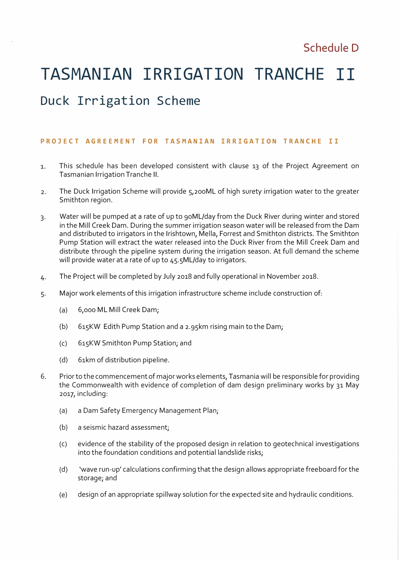# **TASMANIAN IRRIGATION TRANCHE II**

# **Duck Irrigation Scheme**

#### **PROJECT AGREEMENT FOR TASMANIAN IRRIGATION TRANCHE II**

- 1. This schedule has been developed consistent with clause 13 of the Project Agreement on Tasmanian Irrigation Tranche II.
- 2. The Duck Irrigation Scheme will provide 5,200ML of high surety irrigation water to the greater Smithton region.
- 3. Water will be pumped at a rate of up to 90ML/day from the Duck River during winter and stored in the Mill Creek Dam. During the summer irrigation season water will be released from the Dam and distributed to irrigators in the lrishtown, Mella, Forrest and Smithton districts. The Smithton Pump Station will extract the water released into the Duck River from the Mill Creek Dam and distribute through the pipeline system during the irrigation season. At full demand the scheme will provide water at a rate of up to 45.5ML/day to irrigators.
- 4. The Project will be completed by July 2018 and fully operational in November 2018.
- 5. Major work elements of this irrigation infrastructure scheme include construction of:
	- (a) 6,000 ML Mill Creek Dam;
	- (b) 615KW Edith Pump Station and a 2.95km rising main to the Dam;
	- (c) 6i5KW Smithton Pump Station; and
	- (d) 61km of distribution pipeline.
- 6. Prior to the commencement of major works elements, Tasmania will be responsible for providing the Commonwealth with evidence of completion of dam design preliminary works by 31 May 2017, including:
	- (a) a Dam Safety Emergency Management Plan;
	- (b) a seismic hazard assessment;
	- (c) evidence of the stability of the proposed design in relation to geotechnical investigations into the foundation conditions and potential landslide risks;
	- (d) vave run-up' calculations confirming that the design allows appropriate freeboard for the storage; and
	- (e) design of an appropriate spillway solution for the expected site and hydraulic conditions.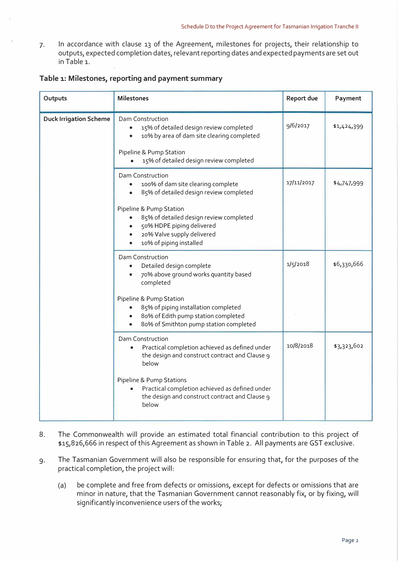7. In accordance with clause 13 of the Agreement, milestones for projects, their relationship to outputs, expected completion dates, relevant reporting dates and expected payments are set out in Table 1.

| Outputs                       | <b>Milestones</b>                                                                                                                                                                            | <b>Report due</b> | Payment     |
|-------------------------------|----------------------------------------------------------------------------------------------------------------------------------------------------------------------------------------------|-------------------|-------------|
| <b>Duck Irrigation Scheme</b> | Dam Construction<br>15% of detailed design review completed<br>$\bullet$<br>10% by area of dam site clearing completed<br>Pipeline & Pump Station<br>15% of detailed design review completed | 9/6/2017          | \$1,424,399 |
|                               | Dam Construction<br>100% of dam site clearing complete<br>85% of detailed design review completed                                                                                            | 17/11/2017        | \$4,747,999 |
|                               | Pipeline & Pump Station<br>85% of detailed design review completed<br>50% HDPE piping delivered<br>20% Valve supply delivered<br>10% of piping installed                                     |                   |             |
|                               | Dam Construction<br>Detailed design complete<br>$\bullet$<br>70% above ground works quantity based<br>$\bullet$<br>completed                                                                 | 1/5/2018          | \$6,330,666 |
|                               | Pipeline & Pump Station<br>85% of piping installation completed<br>$\bullet$<br>80% of Edith pump station completed<br>80% of Smithton pump station completed                                |                   |             |
|                               | Dam Construction<br>Practical completion achieved as defined under<br>the design and construct contract and Clause 9<br>below                                                                | 10/8/2018         | \$3,323,602 |
|                               | Pipeline & Pump Stations<br>Practical completion achieved as defined under<br>the design and construct contract and Clause 9<br>below                                                        |                   |             |

#### **Table 1: Milestones, reporting and payment summary**

- 8. The Commonwealth will provide an estimated total financial contribution to this project of \$15,826,666 in respect of this Agreement as shown in Table 2. All payments are GST exclusive.
- 9. The Tasmanian Government will also be responsible for ensuring that, for the purposes of the practical completion, the project will:
	- (a) be complete and free from defects or omissions, except for defects or omissions that are minor in nature, that the Tasmanian Government cannot reasonably fix, or by fixing, will significantly inconvenience users of the works;